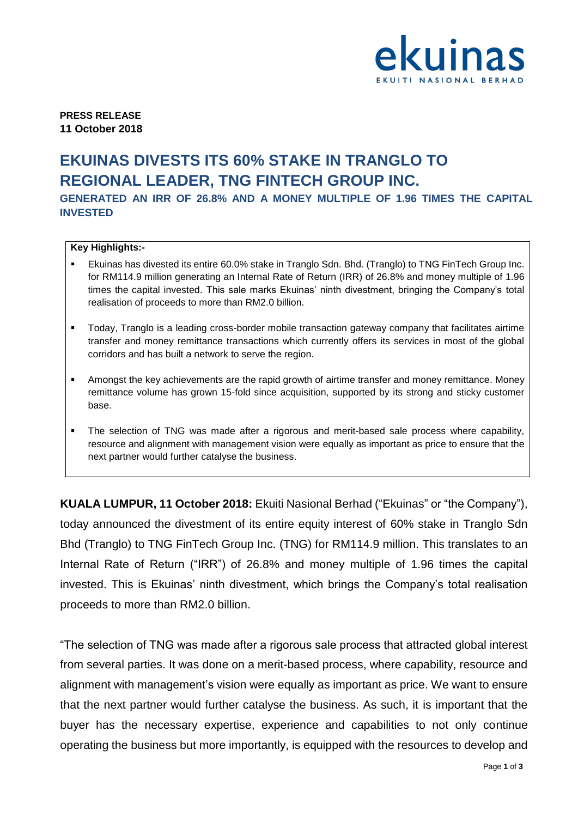

**PRESS RELEASE 11 October 2018**

## **EKUINAS DIVESTS ITS 60% STAKE IN TRANGLO TO REGIONAL LEADER, TNG FINTECH GROUP INC.**

**GENERATED AN IRR OF 26.8% AND A MONEY MULTIPLE OF 1.96 TIMES THE CAPITAL INVESTED**

## **Key Highlights:-**

- Ekuinas has divested its entire 60.0% stake in Tranglo Sdn. Bhd. (Tranglo) to TNG FinTech Group Inc. for RM114.9 million generating an Internal Rate of Return (IRR) of 26.8% and money multiple of 1.96 times the capital invested. This sale marks Ekuinas' ninth divestment, bringing the Company's total realisation of proceeds to more than RM2.0 billion.
- Today, Tranglo is a leading cross-border mobile transaction gateway company that facilitates airtime transfer and money remittance transactions which currently offers its services in most of the global corridors and has built a network to serve the region.
- Amongst the key achievements are the rapid growth of airtime transfer and money remittance. Money remittance volume has grown 15-fold since acquisition, supported by its strong and sticky customer base.
- The selection of TNG was made after a rigorous and merit-based sale process where capability, resource and alignment with management vision were equally as important as price to ensure that the next partner would further catalyse the business.

**KUALA LUMPUR, 11 October 2018:** Ekuiti Nasional Berhad ("Ekuinas" or "the Company"), today announced the divestment of its entire equity interest of 60% stake in Tranglo Sdn Bhd (Tranglo) to TNG FinTech Group Inc. (TNG) for RM114.9 million. This translates to an Internal Rate of Return ("IRR") of 26.8% and money multiple of 1.96 times the capital invested. This is Ekuinas' ninth divestment, which brings the Company's total realisation proceeds to more than RM2.0 billion.

"The selection of TNG was made after a rigorous sale process that attracted global interest from several parties. It was done on a merit-based process, where capability, resource and alignment with management's vision were equally as important as price. We want to ensure that the next partner would further catalyse the business. As such, it is important that the buyer has the necessary expertise, experience and capabilities to not only continue operating the business but more importantly, is equipped with the resources to develop and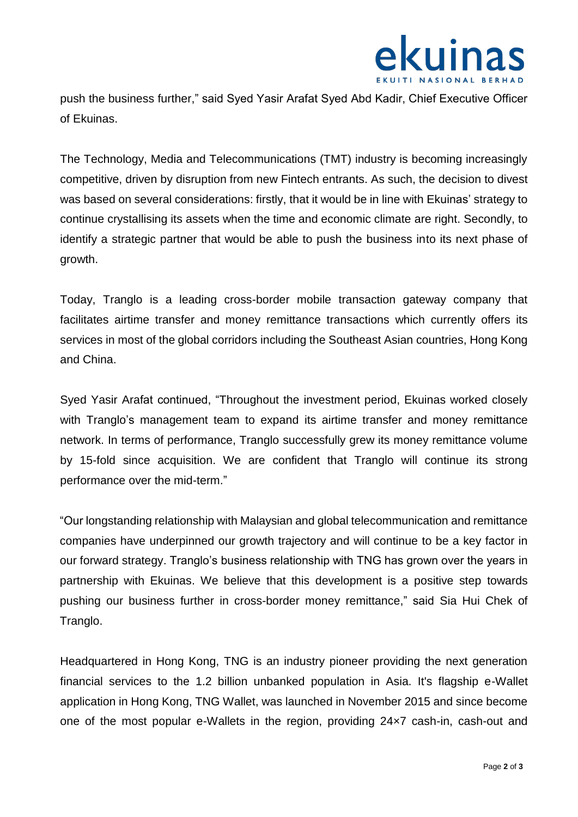

push the business further," said Syed Yasir Arafat Syed Abd Kadir, Chief Executive Officer of Ekuinas.

The Technology, Media and Telecommunications (TMT) industry is becoming increasingly competitive, driven by disruption from new Fintech entrants. As such, the decision to divest was based on several considerations: firstly, that it would be in line with Ekuinas' strategy to continue crystallising its assets when the time and economic climate are right. Secondly, to identify a strategic partner that would be able to push the business into its next phase of growth.

Today, Tranglo is a leading cross-border mobile transaction gateway company that facilitates airtime transfer and money remittance transactions which currently offers its services in most of the global corridors including the Southeast Asian countries, Hong Kong and China.

Syed Yasir Arafat continued, "Throughout the investment period, Ekuinas worked closely with Tranglo's management team to expand its airtime transfer and money remittance network. In terms of performance, Tranglo successfully grew its money remittance volume by 15-fold since acquisition. We are confident that Tranglo will continue its strong performance over the mid-term."

"Our longstanding relationship with Malaysian and global telecommunication and remittance companies have underpinned our growth trajectory and will continue to be a key factor in our forward strategy. Tranglo's business relationship with TNG has grown over the years in partnership with Ekuinas. We believe that this development is a positive step towards pushing our business further in cross-border money remittance," said Sia Hui Chek of Tranglo.

Headquartered in Hong Kong, TNG is an industry pioneer providing the next generation financial services to the 1.2 billion unbanked population in Asia. It's flagship e-Wallet application in Hong Kong, TNG Wallet, was launched in November 2015 and since become one of the most popular e-Wallets in the region, providing 24×7 cash-in, cash-out and